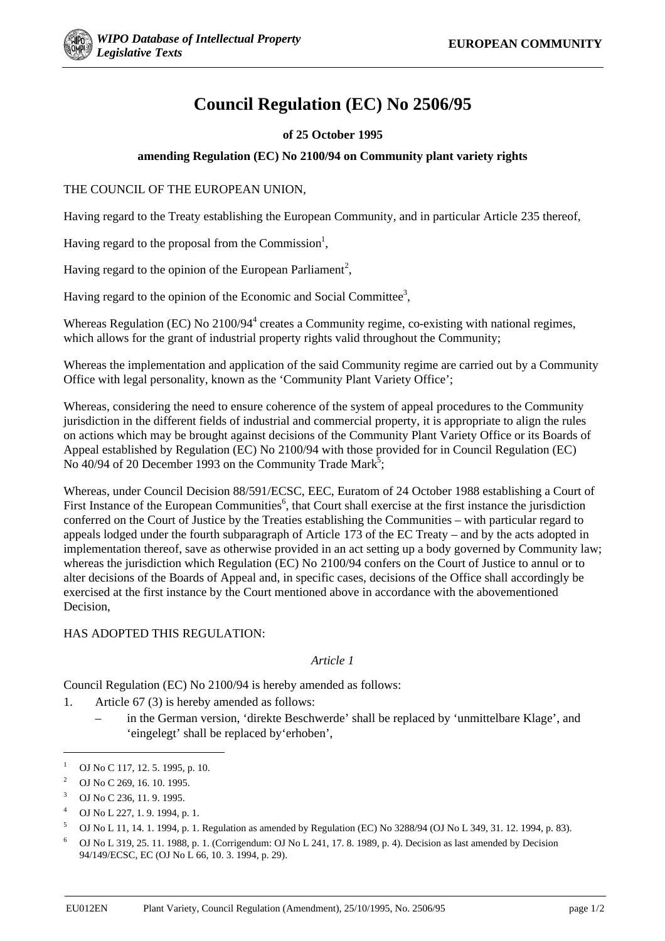# **Council Regulation (EC) No 2506/95**

## **of 25 October 1995**

### **amending Regulation (EC) No 2100/94 on Community plant variety rights**

### THE COUNCIL OF THE EUROPEAN UNION,

Having regard to the Treaty establishing the European Community, and in particular Article 235 thereof,

Having regard to the proposal from the Commission<sup>1</sup>,

Having regard to the opinion of the European Parliament<sup>2</sup>,

Having regard to the opinion of the Economic and Social Committee<sup>3</sup>,

Whereas Regulation (EC) No 2100/94<sup>4</sup> creates a Community regime, co-existing with national regimes, which allows for the grant of industrial property rights valid throughout the Community;

Whereas the implementation and application of the said Community regime are carried out by a Community Office with legal personality, known as the 'Community Plant Variety Office';

Whereas, considering the need to ensure coherence of the system of appeal procedures to the Community jurisdiction in the different fields of industrial and commercial property, it is appropriate to align the rules on actions which may be brought against decisions of the Community Plant Variety Office or its Boards of Appeal established by Regulation (EC) No 2100/94 with those provided for in Council Regulation (EC) No 40/94 of 20 December 1993 on the Community Trade Mark<sup>5</sup>;

Whereas, under Council Decision 88/591/ECSC, EEC, Euratom of 24 October 1988 establishing a Court of First Instance of the European Communities<sup>6</sup>, that Court shall exercise at the first instance the jurisdiction conferred on the Court of Justice by the Treaties establishing the Communities – with particular regard to appeals lodged under the fourth subparagraph of Article 173 of the EC Treaty – and by the acts adopted in implementation thereof, save as otherwise provided in an act setting up a body governed by Community law; whereas the jurisdiction which Regulation (EC) No 2100/94 confers on the Court of Justice to annul or to alter decisions of the Boards of Appeal and, in specific cases, decisions of the Office shall accordingly be exercised at the first instance by the Court mentioned above in accordance with the abovementioned Decision,

HAS ADOPTED THIS REGULATION:

#### *Article 1*

Council Regulation (EC) No 2100/94 is hereby amended as follows:

- 1. Article 67 (3) is hereby amended as follows:
	- in the German version, 'direkte Beschwerde' shall be replaced by 'unmittelbare Klage', and 'eingelegt' shall be replaced by'erhoben',

 $\overline{a}$ 

<sup>&</sup>lt;sup>1</sup> OJ No C 117, 12, 5, 1995, p. 10.

<sup>&</sup>lt;sup>2</sup> OJ No C 269, 16, 10, 1995.

<sup>3</sup> OJ No C 236, 11. 9. 1995.

<sup>4</sup> OJ No L 227, 1. 9. 1994, p. 1.

 $5$  OJ No L 11, 14. 1. 1994, p. 1. Regulation as amended by Regulation (EC) No 3288/94 (OJ No L 349, 31. 12. 1994, p. 83).

<sup>6</sup> OJ No L 319, 25. 11. 1988, p. 1. (Corrigendum: OJ No L 241, 17. 8. 1989, p. 4). Decision as last amended by Decision 94/149/ECSC, EC (OJ No L 66, 10. 3. 1994, p. 29).